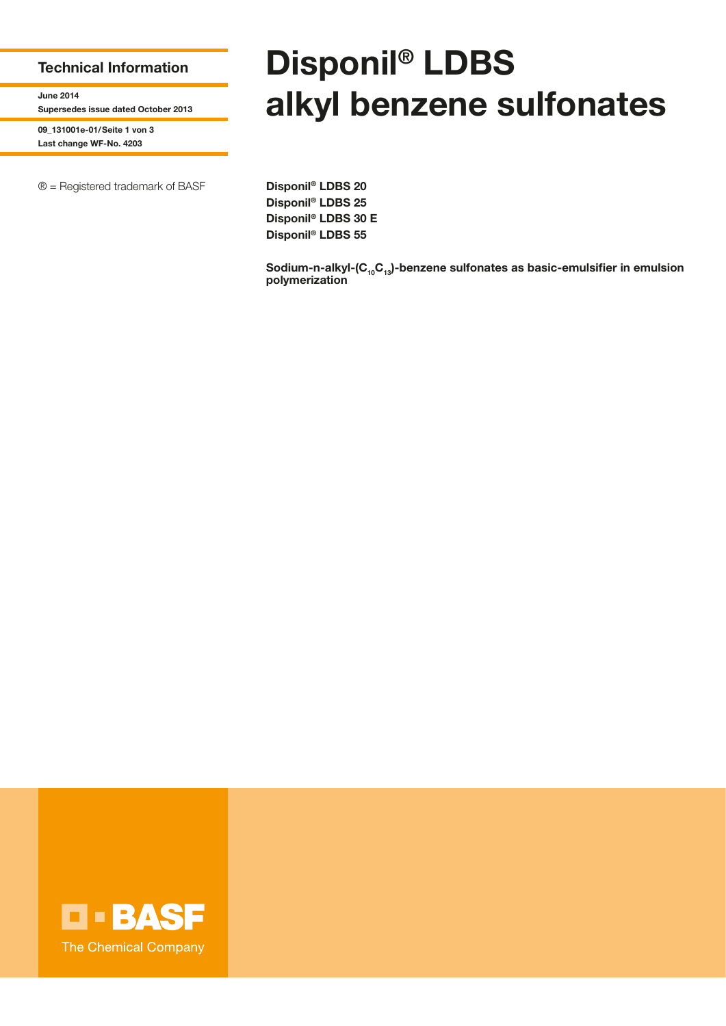## **Technical Information**

**June 2014 Supersedes issue dated October 2013**

**09\_131001e-01/Seite 1 von 3 Last change WF-No. 4203**

® = Registered trademark of BASF **Disponil® LDBS 20**

## **Disponil® LDBS alkyl benzene sulfonates**

**Disponil® LDBS 25 Disponil® LDBS 30 E Disponil® LDBS 55**

Sodium-n-alkyl-(C<sub>10</sub>C<sub>13</sub>)-benzene sulfonates as basic-emulsifier in emulsion **polymerization** 

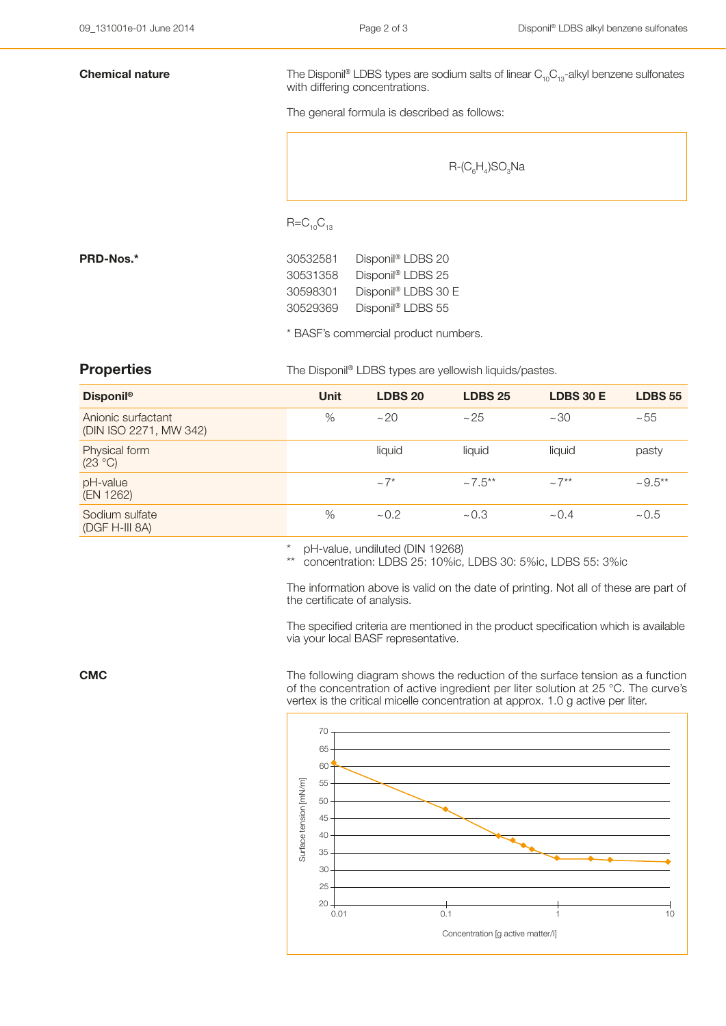**Chemical nature** The Disponil® LDBS types are sodium salts of linear C<sub>10</sub>C<sub>13</sub>-alkyl benzene sulfonates with differing concentrations.

The general formula is described as follows:

 $R$ -(C<sub>6</sub>H<sub>4</sub>)SO<sub>3</sub>Na

 $R=C_{10}C_{13}$ 

**PRD-Nos.\*** 30532581 Disponil® LDBS 20 30531358 Disponil® LDBS 25 30598301 Disponil® LDBS 30 E 30529369 Disponil® LDBS 55

\* BASF's commercial product numbers.

**Properties** The Disponil® LDBS types are yellowish liquids/pastes.

| <b>Disponil®</b>                             | <b>Unit</b> | <b>LDBS 20</b>        | <b>LDBS 25</b>           | <b>LDBS 30 E</b> | <b>LDBS 55</b> |
|----------------------------------------------|-------------|-----------------------|--------------------------|------------------|----------------|
| Anionic surfactant<br>(DIN ISO 2271, MW 342) | %           | ~20                   | ~25                      | ~100             | $~1 - 55$      |
| Physical form<br>(23 °C)                     |             | liquid                | liquid                   | liquid           | pasty          |
| pH-value<br>(EN 1262)                        |             | $\sim$ 7 <sup>*</sup> | $\sim$ 7.5 <sup>**</sup> | $\sim 7**$       | $~1.5**$       |
| Sodium sulfate<br>(DGF H-III 8A)             | %           | ~10.2                 | ~10.3                    | ~10.4            | ~10.5          |

pH-value, undiluted (DIN 19268)

concentration: LDBS 25: 10%ic, LDBS 30: 5%ic, LDBS 55: 3%ic

The information above is valid on the date of printing. Not all of these are part of the certificate of analysis.

The specified criteria are mentioned in the product specification which is available via your local BASF representative.

**CMC** The following diagram shows the reduction of the surface tension as a function of the concentration of active ingredient per liter solution at 25 °C. The curve's vertex is the critical micelle concentration at approx. 1.0 g active per liter.